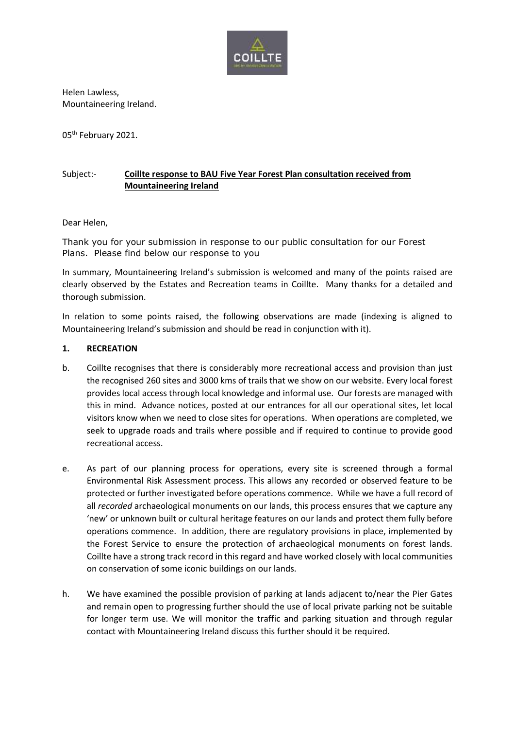

Helen Lawless, Mountaineering Ireland.

05<sup>th</sup> February 2021.

# Subject:- **Coillte response to BAU Five Year Forest Plan consultation received from Mountaineering Ireland**

## Dear Helen,

Thank you for your submission in response to our public consultation for our Forest Plans. Please find below our response to you

In summary, Mountaineering Ireland's submission is welcomed and many of the points raised are clearly observed by the Estates and Recreation teams in Coillte. Many thanks for a detailed and thorough submission.

In relation to some points raised, the following observations are made (indexing is aligned to Mountaineering Ireland's submission and should be read in conjunction with it).

## **1. RECREATION**

- b. Coillte recognises that there is considerably more recreational access and provision than just the recognised 260 sites and 3000 kms of trails that we show on our website. Every local forest provides local access through local knowledge and informal use. Our forests are managed with this in mind. Advance notices, posted at our entrances for all our operational sites, let local visitors know when we need to close sites for operations. When operations are completed, we seek to upgrade roads and trails where possible and if required to continue to provide good recreational access.
- e. As part of our planning process for operations, every site is screened through a formal Environmental Risk Assessment process. This allows any recorded or observed feature to be protected or further investigated before operations commence. While we have a full record of all *recorded* archaeological monuments on our lands, this process ensures that we capture any 'new' or unknown built or cultural heritage features on our lands and protect them fully before operations commence. In addition, there are regulatory provisions in place, implemented by the Forest Service to ensure the protection of archaeological monuments on forest lands. Coillte have a strong track record in this regard and have worked closely with local communities on conservation of some iconic buildings on our lands.
- h. We have examined the possible provision of parking at lands adjacent to/near the Pier Gates and remain open to progressing further should the use of local private parking not be suitable for longer term use. We will monitor the traffic and parking situation and through regular contact with Mountaineering Ireland discuss this further should it be required.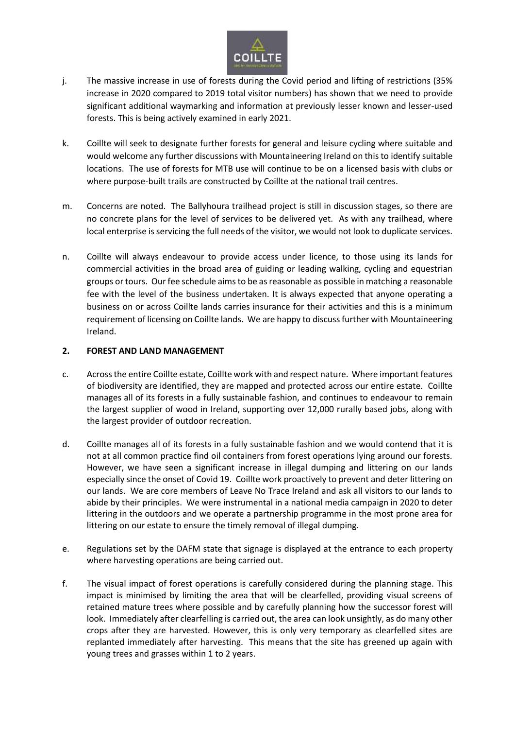

- j. The massive increase in use of forests during the Covid period and lifting of restrictions (35% increase in 2020 compared to 2019 total visitor numbers) has shown that we need to provide significant additional waymarking and information at previously lesser known and lesser-used forests. This is being actively examined in early 2021.
- k. Coillte will seek to designate further forests for general and leisure cycling where suitable and would welcome any further discussions with Mountaineering Ireland on this to identify suitable locations. The use of forests for MTB use will continue to be on a licensed basis with clubs or where purpose-built trails are constructed by Coillte at the national trail centres.
- m. Concerns are noted. The Ballyhoura trailhead project is still in discussion stages, so there are no concrete plans for the level of services to be delivered yet. As with any trailhead, where local enterprise is servicing the full needs of the visitor, we would not look to duplicate services.
- n. Coillte will always endeavour to provide access under licence, to those using its lands for commercial activities in the broad area of guiding or leading walking, cycling and equestrian groups or tours. Our fee schedule aims to be as reasonable as possible in matching a reasonable fee with the level of the business undertaken. It is always expected that anyone operating a business on or across Coillte lands carries insurance for their activities and this is a minimum requirement of licensing on Coillte lands. We are happy to discuss further with Mountaineering Ireland.

## **2. FOREST AND LAND MANAGEMENT**

- c. Across the entire Coillte estate, Coillte work with and respect nature. Where important features of biodiversity are identified, they are mapped and protected across our entire estate. Coillte manages all of its forests in a fully sustainable fashion, and continues to endeavour to remain the largest supplier of wood in Ireland, supporting over 12,000 rurally based jobs, along with the largest provider of outdoor recreation.
- d. Coillte manages all of its forests in a fully sustainable fashion and we would contend that it is not at all common practice find oil containers from forest operations lying around our forests. However, we have seen a significant increase in illegal dumping and littering on our lands especially since the onset of Covid 19. Coillte work proactively to prevent and deter littering on our lands. We are core members of Leave No Trace Ireland and ask all visitors to our lands to abide by their principles. We were instrumental in a national media campaign in 2020 to deter littering in the outdoors and we operate a partnership programme in the most prone area for littering on our estate to ensure the timely removal of illegal dumping.
- e. Regulations set by the DAFM state that signage is displayed at the entrance to each property where harvesting operations are being carried out.
- f. The visual impact of forest operations is carefully considered during the planning stage. This impact is minimised by limiting the area that will be clearfelled, providing visual screens of retained mature trees where possible and by carefully planning how the successor forest will look. Immediately after clearfelling is carried out, the area can look unsightly, as do many other crops after they are harvested. However, this is only very temporary as clearfelled sites are replanted immediately after harvesting. This means that the site has greened up again with young trees and grasses within 1 to 2 years.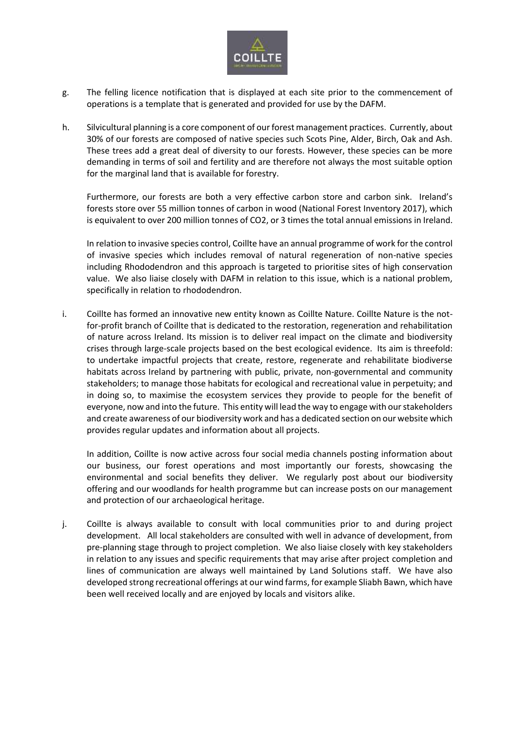

- g. The felling licence notification that is displayed at each site prior to the commencement of operations is a template that is generated and provided for use by the DAFM.
- h. Silvicultural planning is a core component of our forest management practices. Currently, about 30% of our forests are composed of native species such Scots Pine, Alder, Birch, Oak and Ash. These trees add a great deal of diversity to our forests. However, these species can be more demanding in terms of soil and fertility and are therefore not always the most suitable option for the marginal land that is available for forestry.

Furthermore, our forests are both a very effective carbon store and carbon sink. Ireland's forests store over 55 million tonnes of carbon in wood (National Forest Inventory 2017), which is equivalent to over 200 million tonnes of CO2, or 3 times the total annual emissions in Ireland.

In relation to invasive species control, Coillte have an annual programme of work for the control of invasive species which includes removal of natural regeneration of non-native species including Rhododendron and this approach is targeted to prioritise sites of high conservation value. We also liaise closely with DAFM in relation to this issue, which is a national problem, specifically in relation to rhododendron.

i. Coillte has formed an innovative new entity known as Coillte Nature. Coillte Nature is the notfor-profit branch of Coillte that is dedicated to the restoration, regeneration and rehabilitation of nature across Ireland. Its mission is to deliver real impact on the climate and biodiversity crises through large-scale projects based on the best ecological evidence. Its aim is threefold: to undertake impactful projects that create, restore, regenerate and rehabilitate biodiverse habitats across Ireland by partnering with public, private, non-governmental and community stakeholders; to manage those habitats for ecological and recreational value in perpetuity; and in doing so, to maximise the ecosystem services they provide to people for the benefit of everyone, now and into the future. This entity will lead the way to engage with our stakeholders and create awareness of our biodiversity work and has a dedicated section on our website which provides regular updates and information about all projects.

In addition, Coillte is now active across four social media channels posting information about our business, our forest operations and most importantly our forests, showcasing the environmental and social benefits they deliver. We regularly post about our biodiversity offering and our woodlands for health programme but can increase posts on our management and protection of our archaeological heritage.

j. Coillte is always available to consult with local communities prior to and during project development. All local stakeholders are consulted with well in advance of development, from pre-planning stage through to project completion. We also liaise closely with key stakeholders in relation to any issues and specific requirements that may arise after project completion and lines of communication are always well maintained by Land Solutions staff. We have also developed strong recreational offerings at our wind farms, for example Sliabh Bawn, which have been well received locally and are enjoyed by locals and visitors alike.